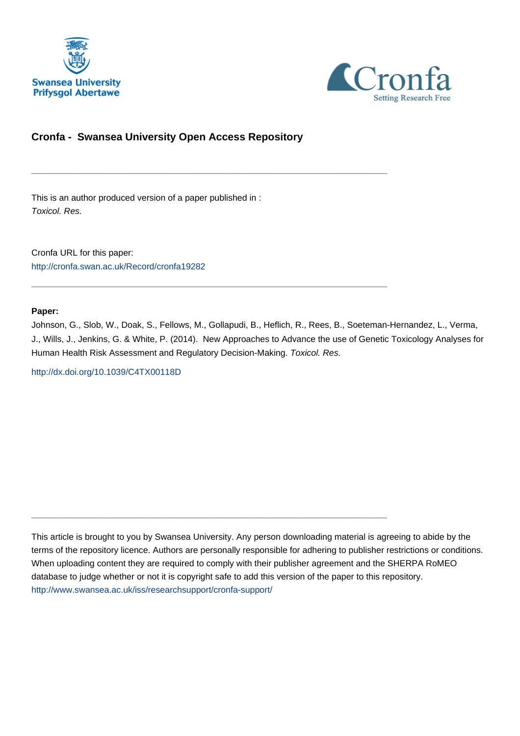



# **Cronfa - Swansea University Open Access Repository**

\_\_\_\_\_\_\_\_\_\_\_\_\_\_\_\_\_\_\_\_\_\_\_\_\_\_\_\_\_\_\_\_\_\_\_\_\_\_\_\_\_\_\_\_\_\_\_\_\_\_\_\_\_\_\_\_\_\_\_\_\_

 $\_$  , and the set of the set of the set of the set of the set of the set of the set of the set of the set of the set of the set of the set of the set of the set of the set of the set of the set of the set of the set of th

\_\_\_\_\_\_\_\_\_\_\_\_\_\_\_\_\_\_\_\_\_\_\_\_\_\_\_\_\_\_\_\_\_\_\_\_\_\_\_\_\_\_\_\_\_\_\_\_\_\_\_\_\_\_\_\_\_\_\_\_\_

This is an author produced version of a paper published in : Toxicol. Res.

Cronfa URL for this paper: <http://cronfa.swan.ac.uk/Record/cronfa19282>

## **Paper:**

Johnson, G., Slob, W., Doak, S., Fellows, M., Gollapudi, B., Heflich, R., Rees, B., Soeteman-Hernandez, L., Verma, J., Wills, J., Jenkins, G. & White, P. (2014). New Approaches to Advance the use of Genetic Toxicology Analyses for Human Health Risk Assessment and Regulatory Decision-Making. Toxicol. Res.

<http://dx.doi.org/10.1039/C4TX00118D>

This article is brought to you by Swansea University. Any person downloading material is agreeing to abide by the terms of the repository licence. Authors are personally responsible for adhering to publisher restrictions or conditions. When uploading content they are required to comply with their publisher agreement and the SHERPA RoMEO database to judge whether or not it is copyright safe to add this version of the paper to this repository. [http://www.swansea.ac.uk/iss/researchsupport/cronfa-support/](http://www.swansea.ac.uk/iss/researchsupport/cronfa-support/ )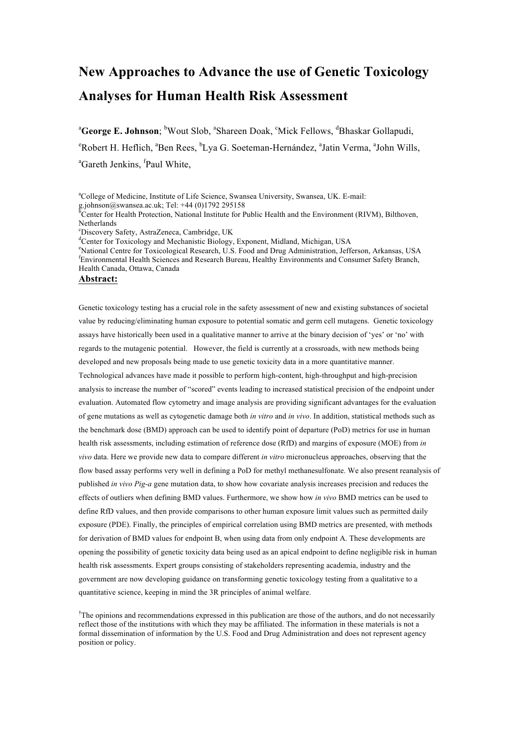# **New Approaches to Advance the use of Genetic Toxicology Analyses for Human Health Risk Assessment**

<sup>a</sup>George E. Johnson; <sup>b</sup>Wout Slob, <sup>a</sup>Shareen Doak, <sup>c</sup>Mick Fellows, <sup>d</sup>Bhaskar Gollapudi, <sup>e</sup>Robert H. Heflich, <sup>a</sup>Ben Rees, <sup>b</sup>Lya G. Soeteman-Hernández, <sup>a</sup>Jatin Verma, <sup>a</sup>John Wills, <sup>a</sup>Gareth Jenkins, <sup>f</sup>Paul White,

<sup>a</sup>College of Medicine, Institute of Life Science, Swansea University, Swansea, UK. E-mail: g.johnson@swansea.ac.uk; Tel: +44 (0)1792 295158 <sup>6</sup>Center for Health Protection, National Institute for Public Health and the Environment (RIVM), Bilthoven, Netherlands c Discovery Safety, AstraZeneca, Cambridge, UK <sup>d</sup>Center for Toxicology and Mechanistic Biology, Exponent, Midland, Michigan, USA <sup>e</sup>National Centre for Toxicological Research, U.S. Food and Drug Administration, Jefferson, Arkansas, USA financial Hoalth Sciences and Research Burgey, Hoalthy Environments and Consumer Sefety Branch Environmental Health Sciences and Research Bureau, Healthy Environments and Consumer Safety Branch, Health Canada, Ottawa, Canada

#### **Abstract:**

Genetic toxicology testing has a crucial role in the safety assessment of new and existing substances of societal value by reducing/eliminating human exposure to potential somatic and germ cell mutagens. Genetic toxicology assays have historically been used in a qualitative manner to arrive at the binary decision of 'yes' or 'no' with regards to the mutagenic potential. However, the field is currently at a crossroads, with new methods being developed and new proposals being made to use genetic toxicity data in a more quantitative manner. Technological advances have made it possible to perform high-content, high-throughput and high-precision analysis to increase the number of "scored" events leading to increased statistical precision of the endpoint under evaluation. Automated flow cytometry and image analysis are providing significant advantages for the evaluation of gene mutations as well as cytogenetic damage both *in vitro* and *in vivo*. In addition, statistical methods such as the benchmark dose (BMD) approach can be used to identify point of departure (PoD) metrics for use in human health risk assessments, including estimation of reference dose (RfD) and margins of exposure (MOE) from *in vivo* data. Here we provide new data to compare different *in vitro* micronucleus approaches, observing that the flow based assay performs very well in defining a PoD for methyl methanesulfonate. We also present reanalysis of published *in vivo Pig-a* gene mutation data, to show how covariate analysis increases precision and reduces the effects of outliers when defining BMD values. Furthermore, we show how *in vivo* BMD metrics can be used to define RfD values, and then provide comparisons to other human exposure limit values such as permitted daily exposure (PDE). Finally, the principles of empirical correlation using BMD metrics are presented, with methods for derivation of BMD values for endpoint B, when using data from only endpoint A. These developments are opening the possibility of genetic toxicity data being used as an apical endpoint to define negligible risk in human health risk assessments. Expert groups consisting of stakeholders representing academia, industry and the government are now developing guidance on transforming genetic toxicology testing from a qualitative to a quantitative science, keeping in mind the 3R principles of animal welfare.

<sup>†</sup> The opinions and recommendations expressed in this publication are those of the authors, and do not necessarily reflect those of the institutions with which they may be affiliated. The information in these materials is not a formal dissemination of information by the U.S. Food and Drug Administration and does not represent agency position or policy.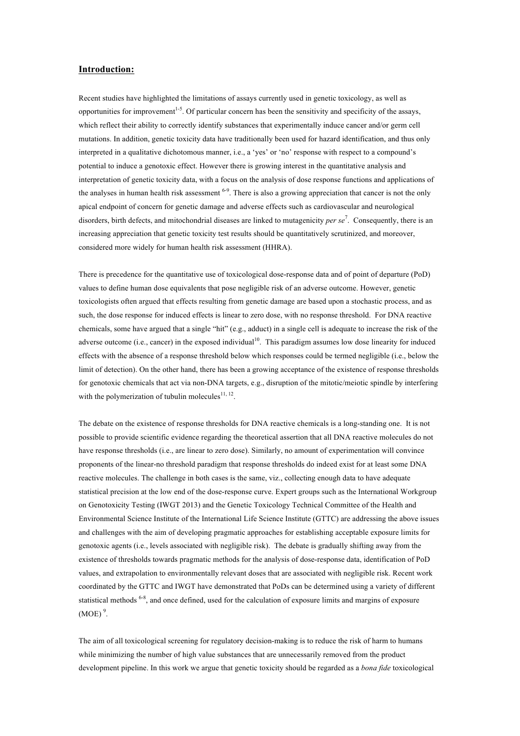#### **Introduction:**

Recent studies have highlighted the limitations of assays currently used in genetic toxicology, as well as opportunities for improvement<sup>1-5</sup>. Of particular concern has been the sensitivity and specificity of the assays, which reflect their ability to correctly identify substances that experimentally induce cancer and/or germ cell mutations. In addition, genetic toxicity data have traditionally been used for hazard identification, and thus only interpreted in a qualitative dichotomous manner, i.e., a 'yes' or 'no' response with respect to a compound's potential to induce a genotoxic effect. However there is growing interest in the quantitative analysis and interpretation of genetic toxicity data, with a focus on the analysis of dose response functions and applications of the analyses in human health risk assessment  $6-9$ . There is also a growing appreciation that cancer is not the only apical endpoint of concern for genetic damage and adverse effects such as cardiovascular and neurological disorders, birth defects, and mitochondrial diseases are linked to mutagenicity *per se*<sup>7</sup> . Consequently, there is an increasing appreciation that genetic toxicity test results should be quantitatively scrutinized, and moreover, considered more widely for human health risk assessment (HHRA).

There is precedence for the quantitative use of toxicological dose-response data and of point of departure (PoD) values to define human dose equivalents that pose negligible risk of an adverse outcome. However, genetic toxicologists often argued that effects resulting from genetic damage are based upon a stochastic process, and as such, the dose response for induced effects is linear to zero dose, with no response threshold. For DNA reactive chemicals, some have argued that a single "hit" (e.g., adduct) in a single cell is adequate to increase the risk of the adverse outcome (i.e., cancer) in the exposed individual<sup>10</sup>. This paradigm assumes low dose linearity for induced effects with the absence of a response threshold below which responses could be termed negligible (i.e., below the limit of detection). On the other hand, there has been a growing acceptance of the existence of response thresholds for genotoxic chemicals that act via non-DNA targets, e.g., disruption of the mitotic/meiotic spindle by interfering with the polymerization of tubulin molecules $^{11, 12}$ .

The debate on the existence of response thresholds for DNA reactive chemicals is a long-standing one. It is not possible to provide scientific evidence regarding the theoretical assertion that all DNA reactive molecules do not have response thresholds (i.e., are linear to zero dose). Similarly, no amount of experimentation will convince proponents of the linear-no threshold paradigm that response thresholds do indeed exist for at least some DNA reactive molecules. The challenge in both cases is the same, viz., collecting enough data to have adequate statistical precision at the low end of the dose-response curve. Expert groups such as the International Workgroup on Genotoxicity Testing (IWGT 2013) and the Genetic Toxicology Technical Committee of the Health and Environmental Science Institute of the International Life Science Institute (GTTC) are addressing the above issues and challenges with the aim of developing pragmatic approaches for establishing acceptable exposure limits for genotoxic agents (i.e., levels associated with negligible risk). The debate is gradually shifting away from the existence of thresholds towards pragmatic methods for the analysis of dose-response data, identification of PoD values, and extrapolation to environmentally relevant doses that are associated with negligible risk. Recent work coordinated by the GTTC and IWGT have demonstrated that PoDs can be determined using a variety of different statistical methods <sup>6-8</sup>, and once defined, used for the calculation of exposure limits and margins of exposure  $(MOE)^9$ .

The aim of all toxicological screening for regulatory decision-making is to reduce the risk of harm to humans while minimizing the number of high value substances that are unnecessarily removed from the product development pipeline. In this work we argue that genetic toxicity should be regarded as a *bona fide* toxicological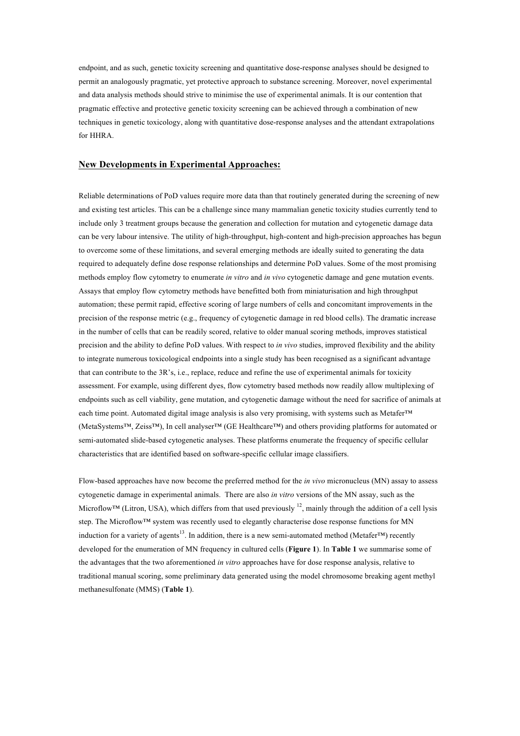endpoint, and as such, genetic toxicity screening and quantitative dose-response analyses should be designed to permit an analogously pragmatic, yet protective approach to substance screening. Moreover, novel experimental and data analysis methods should strive to minimise the use of experimental animals. It is our contention that pragmatic effective and protective genetic toxicity screening can be achieved through a combination of new techniques in genetic toxicology, along with quantitative dose-response analyses and the attendant extrapolations for HHRA.

### **New Developments in Experimental Approaches:**

Reliable determinations of PoD values require more data than that routinely generated during the screening of new and existing test articles. This can be a challenge since many mammalian genetic toxicity studies currently tend to include only 3 treatment groups because the generation and collection for mutation and cytogenetic damage data can be very labour intensive. The utility of high-throughput, high-content and high-precision approaches has begun to overcome some of these limitations, and several emerging methods are ideally suited to generating the data required to adequately define dose response relationships and determine PoD values. Some of the most promising methods employ flow cytometry to enumerate *in vitro* and *in vivo* cytogenetic damage and gene mutation events. Assays that employ flow cytometry methods have benefitted both from miniaturisation and high throughput automation; these permit rapid, effective scoring of large numbers of cells and concomitant improvements in the precision of the response metric (e.g., frequency of cytogenetic damage in red blood cells). The dramatic increase in the number of cells that can be readily scored, relative to older manual scoring methods, improves statistical precision and the ability to define PoD values. With respect to *in vivo* studies, improved flexibility and the ability to integrate numerous toxicological endpoints into a single study has been recognised as a significant advantage that can contribute to the 3R's, i.e., replace, reduce and refine the use of experimental animals for toxicity assessment. For example, using different dyes, flow cytometry based methods now readily allow multiplexing of endpoints such as cell viability, gene mutation, and cytogenetic damage without the need for sacrifice of animals at each time point. Automated digital image analysis is also very promising, with systems such as Metafer™ (MetaSystems™, Zeiss™), In cell analyser™ (GE Healthcare™) and others providing platforms for automated or semi-automated slide-based cytogenetic analyses. These platforms enumerate the frequency of specific cellular characteristics that are identified based on software-specific cellular image classifiers.

Flow-based approaches have now become the preferred method for the *in vivo* micronucleus (MN) assay to assess cytogenetic damage in experimental animals. There are also *in vitro* versions of the MN assay, such as the Microflow<sup>™</sup> (Litron, USA), which differs from that used previously <sup>12</sup>, mainly through the addition of a cell lysis step. The Microflow™ system was recently used to elegantly characterise dose response functions for MN induction for a variety of agents<sup>13</sup>. In addition, there is a new semi-automated method (Metafer™) recently developed for the enumeration of MN frequency in cultured cells (**Figure 1**). In **Table 1** we summarise some of the advantages that the two aforementioned *in vitro* approaches have for dose response analysis, relative to traditional manual scoring, some preliminary data generated using the model chromosome breaking agent methyl methanesulfonate (MMS) (**Table 1**).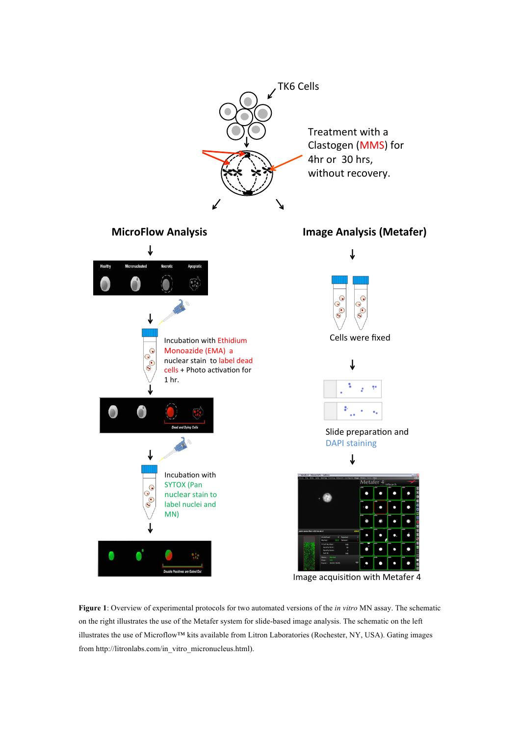

**Figure 1**: Overview of experimental protocols for two automated versions of the *in vitro* MN assay. The schematic on the right illustrates the use of the Metafer system for slide-based image analysis. The schematic on the left illustrates the use of Microflow™ kits available from Litron Laboratories (Rochester, NY, USA). Gating images from http://litronlabs.com/in\_vitro\_micronucleus.html).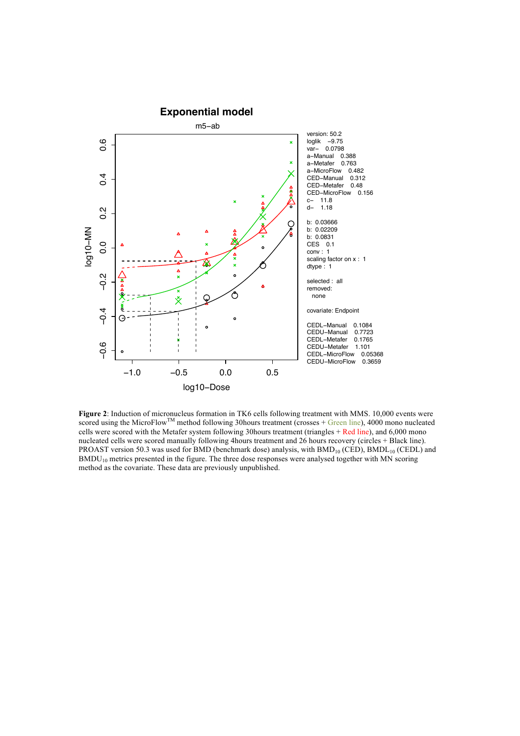

**Figure 2**: Induction of micronucleus formation in TK6 cells following treatment with MMS. 10,000 events were scored using the MicroFlow<sup>TM</sup> method following 30hours treatment (crosses  $+$  Green line), 4000 mono nucleated cells were scored with the Metafer system following 30hours treatment (triangles + Red line), and 6,000 mono nucleated cells were scored manually following 4hours treatment and 26 hours recovery (circles + Black line). PROAST version 50.3 was used for BMD (benchmark dose) analysis, with BMD<sub>10</sub> (CED), BMDL<sub>10</sub> (CEDL) and  $BMDU_{10}$  metrics presented in the figure. The three dose responses were analysed together with MN scoring method as the covariate. These data are previously unpublished.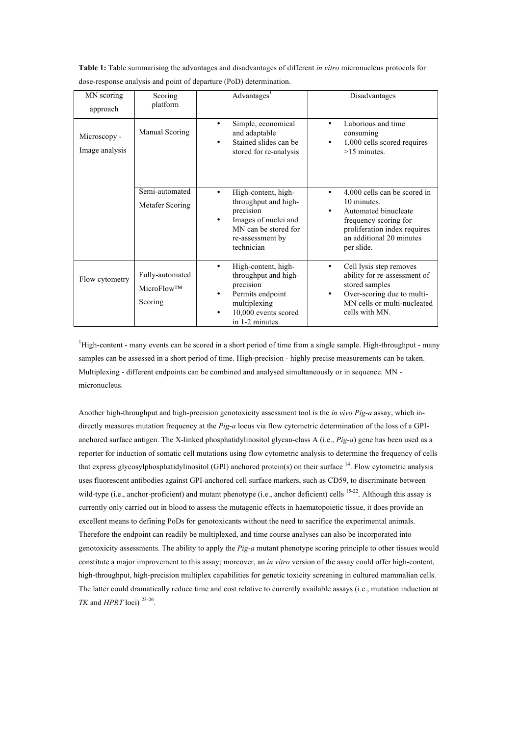**Table 1:** Table summarising the advantages and disadvantages of different *in vitro* micronucleus protocols for dose-response analysis and point of departure (PoD) determination.

| MN scoring<br>approach         | Scoring<br>platform                      | Advantages <sup>1</sup>                                                                                                                                 | Disadvantages                                                                                                                                                                       |  |  |
|--------------------------------|------------------------------------------|---------------------------------------------------------------------------------------------------------------------------------------------------------|-------------------------------------------------------------------------------------------------------------------------------------------------------------------------------------|--|--|
| Microscopy -<br>Image analysis | Manual Scoring                           | Simple, economical<br>and adaptable<br>Stained slides can be<br>stored for re-analysis                                                                  | Laborious and time<br>consuming<br>1,000 cells scored requires<br>$>15$ minutes.                                                                                                    |  |  |
|                                | Semi-automated<br>Metafer Scoring        | High-content, high-<br>throughput and high-<br>precision<br>Images of nuclei and<br>$\bullet$<br>MN can be stored for<br>re-assessment by<br>technician | 4,000 cells can be scored in<br>$\bullet$<br>10 minutes.<br>Automated binucleate<br>frequency scoring for<br>proliferation index requires<br>an additional 20 minutes<br>per slide. |  |  |
| Flow cytometry                 | Fully-automated<br>MicroFlow™<br>Scoring | High-content, high-<br>throughput and high-<br>precision<br>Permits endpoint<br>٠<br>multiplexing<br>10,000 events scored<br>in 1-2 minutes.            | Cell lysis step removes<br>٠<br>ability for re-assessment of<br>stored samples<br>Over-scoring due to multi-<br>٠<br>MN cells or multi-nucleated<br>cells with MN.                  |  |  |

<sup>1</sup>High-content - many events can be scored in a short period of time from a single sample. High-throughput - many samples can be assessed in a short period of time. High-precision - highly precise measurements can be taken. Multiplexing - different endpoints can be combined and analysed simultaneously or in sequence. MN micronucleus.

Another high-throughput and high-precision genotoxicity assessment tool is the *in vivo Pig-a* assay, which indirectly measures mutation frequency at the *Pig-a* locus via flow cytometric determination of the loss of a GPIanchored surface antigen. The X-linked phosphatidylinositol glycan-class A (i.e., *Pig-a*) gene has been used as a reporter for induction of somatic cell mutations using flow cytometric analysis to determine the frequency of cells that express glycosylphosphatidylinositol (GPI) anchored protein(s) on their surface 14. Flow cytometric analysis uses fluorescent antibodies against GPI-anchored cell surface markers, such as CD59, to discriminate between wild-type (i.e., anchor-proficient) and mutant phenotype (i.e., anchor deficient) cells <sup>15-22</sup>. Although this assay is currently only carried out in blood to assess the mutagenic effects in haematopoietic tissue, it does provide an excellent means to defining PoDs for genotoxicants without the need to sacrifice the experimental animals. Therefore the endpoint can readily be multiplexed, and time course analyses can also be incorporated into genotoxicity assessments. The ability to apply the *Pig-a* mutant phenotype scoring principle to other tissues would constitute a major improvement to this assay; moreover, an *in vitro* version of the assay could offer high-content, high-throughput, high-precision multiplex capabilities for genetic toxicity screening in cultured mammalian cells. The latter could dramatically reduce time and cost relative to currently available assays (i.e., mutation induction at *TK* and *HPRT* loci) 23-26.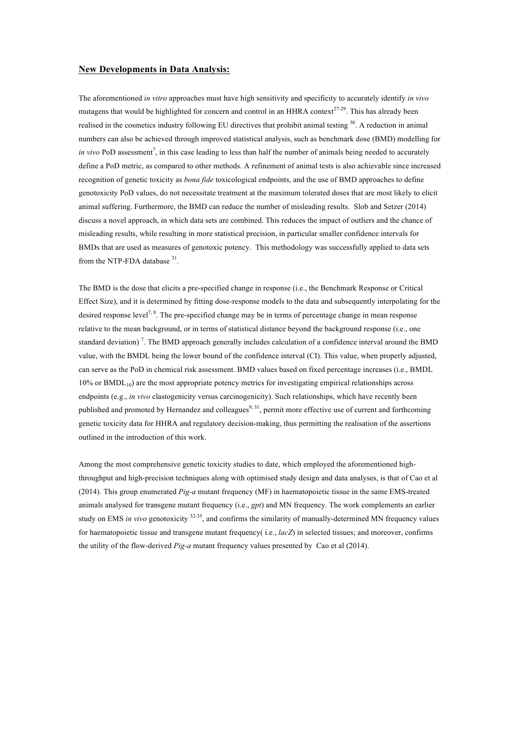#### **New Developments in Data Analysis:**

The aforementioned *in vitro* approaches must have high sensitivity and specificity to accurately identify *in vivo* mutagens that would be highlighted for concern and control in an HHRA context<sup>27-29</sup>. This has already been realised in the cosmetics industry following EU directives that prohibit animal testing 30. A reduction in animal numbers can also be achieved through improved statistical analysis, such as benchmark dose (BMD) modelling for *in vivo* PoD assessment<sup>7</sup>, in this case leading to less than half the number of animals being needed to accurately define a PoD metric, as compared to other methods. A refinement of animal tests is also achievable since increased recognition of genetic toxicity as *bona fide* toxicological endpoints, and the use of BMD approaches to define genotoxicity PoD values, do not necessitate treatment at the maximum tolerated doses that are most likely to elicit animal suffering. Furthermore, the BMD can reduce the number of misleading results. Slob and Setzer (2014) discuss a novel approach, in which data sets are combined. This reduces the impact of outliers and the chance of misleading results, while resulting in more statistical precision, in particular smaller confidence intervals for BMDs that are used as measures of genotoxic potency. This methodology was successfully applied to data sets from the NTP-FDA database <sup>31</sup>.

The BMD is the dose that elicits a pre-specified change in response (i.e., the Benchmark Response or Critical Effect Size), and it is determined by fitting dose-response models to the data and subsequently interpolating for the desired response level<sup>7, 8</sup>. The pre-specified change may be in terms of percentage change in mean response relative to the mean background, or in terms of statistical distance beyond the background response (i.e., one standard deviation)<sup>7</sup>. The BMD approach generally includes calculation of a confidence interval around the BMD value, with the BMDL being the lower bound of the confidence interval (CI). This value, when properly adjusted, can serve as the PoD in chemical risk assessment. BMD values based on fixed percentage increases (i.e., BMDL 10% or BMDL10) are the most appropriate potency metrics for investigating empirical relationships across endpoints (e.g., *in vivo* clastogenicity versus carcinogenicity). Such relationships, which have recently been published and promoted by Hernandez and colleagues<sup>9, 31</sup>, permit more effective use of current and forthcoming genetic toxicity data for HHRA and regulatory decision-making, thus permitting the realisation of the assertions outlined in the introduction of this work.

Among the most comprehensive genetic toxicity studies to date, which employed the aforementioned highthroughput and high-precision techniques along with optimised study design and data analyses, is that of Cao et al (2014). This group enumerated *Pig-a* mutant frequency (MF) in haematopoietic tissue in the same EMS-treated animals analysed for transgene mutant frequency (i.e., *gpt*) and MN frequency. The work complements an earlier study on EMS *in vivo* genotoxicity 32-35, and confirms the similarity of manually-determined MN frequency values for haematopoietic tissue and transgene mutant frequency( i.e., *lacZ*) in selected tissues; and moreover, confirms the utility of the flow-derived *Pig-a* mutant frequency values presented by Cao et al (2014).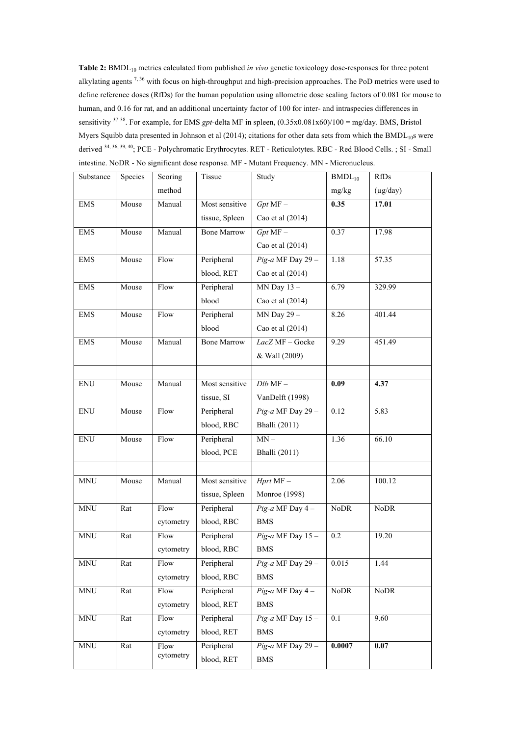Table 2: BMDL<sub>10</sub> metrics calculated from published *in vivo* genetic toxicology dose-responses for three potent alkylating agents 7, 36 with focus on high-throughput and high-precision approaches. The PoD metrics were used to define reference doses (RfDs) for the human population using allometric dose scaling factors of 0.081 for mouse to human, and 0.16 for rat, and an additional uncertainty factor of 100 for inter- and intraspecies differences in sensitivity <sup>37</sup> 38. For example, for EMS *gpt*-delta MF in spleen, (0.35x0.081x60)/100 = mg/day. BMS, Bristol Myers Squibb data presented in Johnson et al (2014); citations for other data sets from which the  $BMDL_{10}s$  were derived 34, 36, 39, 40; PCE - Polychromatic Erythrocytes. RET - Reticulotytes. RBC - Red Blood Cells. ; SI - Small intestine. NoDR - No significant dose response. MF - Mutant Frequency. MN - Micronucleus.

| Substance   | Species | Scoring   | Tissue             | Study                | $BMDL_{10}$ | <b>RfDs</b>       |
|-------------|---------|-----------|--------------------|----------------------|-------------|-------------------|
|             |         | method    |                    |                      | mg/kg       | $(\mu g/day)$     |
| ${\rm EMS}$ | Mouse   | Manual    | Most sensitive     | $Gpt$ MF $-$         | 0.35        | 17.01             |
|             |         |           | tissue, Spleen     | Cao et al (2014)     |             |                   |
| <b>EMS</b>  | Mouse   | Manual    | <b>Bone Marrow</b> | $Gpt$ MF $-$         | 0.37        | 17.98             |
|             |         |           |                    | Cao et al (2014)     |             |                   |
| ${\rm EMS}$ | Mouse   | Flow      | Peripheral         | $Pig-a MF$ Day 29 -  | 1.18        | 57.35             |
|             |         |           | blood, RET         | Cao et al (2014)     |             |                   |
| ${\rm EMS}$ | Mouse   | Flow      | Peripheral         | $MN$ Day $13 -$      | 6.79        | 329.99            |
|             |         |           | blood              | Cao et al (2014)     |             |                   |
| <b>EMS</b>  | Mouse   | Flow      | Peripheral         | $MN$ Day 29 -        | 8.26        | 401.44            |
|             |         |           | blood              | Cao et al (2014)     |             |                   |
| <b>EMS</b>  | Mouse   | Manual    | <b>Bone Marrow</b> | LacZ MF - Gocke      | 9.29        | 451.49            |
|             |         |           |                    | & Wall (2009)        |             |                   |
|             |         |           |                    |                      |             |                   |
| <b>ENU</b>  | Mouse   | Manual    | Most sensitive     | $Dlb$ MF $-$         | 0.09        | 4.37              |
|             |         |           | tissue, SI         | VanDelft (1998)      |             |                   |
| ${\rm ENU}$ | Mouse   | Flow      | Peripheral         | Pig-a MF Day $29 -$  | 0.12        | 5.83              |
|             |         |           | blood, RBC         | <b>Bhalli</b> (2011) |             |                   |
| ${\rm ENU}$ | Mouse   | Flow      | Peripheral         | $MN -$               | 1.36        | 66.10             |
|             |         |           | blood, PCE         | <b>Bhalli</b> (2011) |             |                   |
|             |         |           |                    |                      |             |                   |
| <b>MNU</b>  | Mouse   | Manual    | Most sensitive     | $H$ prt MF $-$       | 2.06        | 100.12            |
|             |         |           | tissue, Spleen     | Monroe (1998)        |             |                   |
| <b>MNU</b>  | Rat     | Flow      | Peripheral         | Pig-a MF Day $4-$    | <b>NoDR</b> | <b>NoDR</b>       |
|             |         | cytometry | blood, RBC         | <b>BMS</b>           |             |                   |
| <b>MNU</b>  | Rat     | Flow      | Peripheral         | Pig-a MF Day $15 -$  | 0.2         | 19.20             |
|             |         | cytometry | blood, RBC         | <b>BMS</b>           |             |                   |
| <b>MNU</b>  | Rat     | Flow      | Peripheral         | Pig-a MF Day 29 -    | 0.015       | 1.44              |
|             |         | cytometry | blood, RBC         | <b>BMS</b>           |             |                   |
| <b>MNU</b>  | Rat     | Flow      | Peripheral         | Pig-a MF Day $4-$    | <b>NoDR</b> | <b>NoDR</b>       |
|             |         | cytometry | blood, RET         | <b>BMS</b>           |             |                   |
| <b>MNU</b>  | Rat     | Flow      | Peripheral         | Pig-a MF Day $15 -$  | 0.1         | 9.60              |
|             |         | cytometry | blood, RET         | <b>BMS</b>           |             |                   |
| <b>MNU</b>  | Rat     | Flow      | Peripheral         | Pig-a MF Day $29 -$  | 0.0007      | $\overline{0.07}$ |
|             |         | cytometry | blood, RET         | <b>BMS</b>           |             |                   |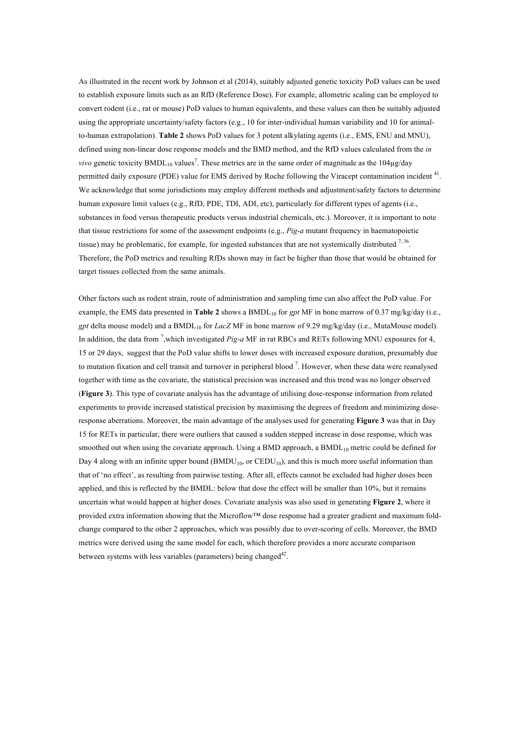As illustrated in the recent work by Johnson et al (2014), suitably adjusted genetic toxicity PoD values can be used to establish exposure limits such as an RfD (Reference Dose). For example, allometric scaling can be employed to convert rodent (i.e., rat or mouse) PoD values to human equivalents, and these values can then be suitably adjusted using the appropriate uncertainty/safety factors (e.g., 10 for inter-individual human variability and 10 for animalto-human extrapolation). **Table 2** shows PoD values for 3 potent alkylating agents (i.e., EMS, ENU and MNU), defined using non-linear dose response models and the BMD method, and the RfD values calculated from the *in vivo* genetic toxicity  $BMDL_{10}$  values<sup>7</sup>. These metrics are in the same order of magnitude as the  $104\mu$ g/day permitted daily exposure (PDE) value for EMS derived by Roche following the Viracept contamination incident 41. We acknowledge that some jurisdictions may employ different methods and adjustment/safety factors to determine human exposure limit values (e.g., RfD, PDE, TDI, ADI, etc), particularly for different types of agents (i.e., substances in food versus therapeutic products versus industrial chemicals, etc.). Moreover, it is important to note that tissue restrictions for some of the assessment endpoints (e.g., *Pig-a* mutant frequency in haematopoietic tissue) may be problematic, for example, for ingested substances that are not systemically distributed  $^{7,36}$ . Therefore, the PoD metrics and resulting RfDs shown may in fact be higher than those that would be obtained for target tissues collected from the same animals.

Other factors such as rodent strain, route of administration and sampling time can also affect the PoD value. For example, the EMS data presented in **Table 2** shows a BMDL<sub>10</sub> for *gpt* MF in bone marrow of 0.37 mg/kg/day (i.e., *gpt* delta mouse model) and a BMDL<sub>10</sub> for *LacZ* MF in bone marrow of 9.29 mg/kg/day (i.e., MutaMouse model). In addition, the data from <sup>7</sup>, which investigated *Pig-a* MF in rat RBCs and RETs following MNU exposures for 4, 15 or 29 days, suggest that the PoD value shifts to lower doses with increased exposure duration, presumably due to mutation fixation and cell transit and turnover in peripheral blood  $\frac{7}{1}$ . However, when these data were reanalysed together with time as the covariate, the statistical precision was increased and this trend was no longer observed (**Figure 3**). This type of covariate analysis has the advantage of utilising dose-response information from related experiments to provide increased statistical precision by maximising the degrees of freedom and minimizing doseresponse aberrations. Moreover, the main advantage of the analyses used for generating **Figure 3** was that in Day 15 for RETs in particular, there were outliers that caused a sudden stepped increase in dose response, which was smoothed out when using the covariate approach. Using a BMD approach, a BMDL $_{10}$  metric could be defined for Day 4 along with an infinite upper bound  $(BMDU_{10}$ , or  $CEDU_{10}$ , and this is much more useful information than that of 'no effect', as resulting from pairwise testing. After all, effects cannot be excluded had higher doses been applied, and this is reflected by the BMDL: below that dose the effect will be smaller than 10%, but it remains uncertain what would happen at higher doses. Covariate analysis was also used in generating **Figure 2**, where it provided extra information showing that the Microflow™ dose response had a greater gradient and maximum foldchange compared to the other 2 approaches, which was possibly due to over-scoring of cells. Moreover, the BMD metrics were derived using the same model for each, which therefore provides a more accurate comparison between systems with less variables (parameters) being changed<sup>42</sup>.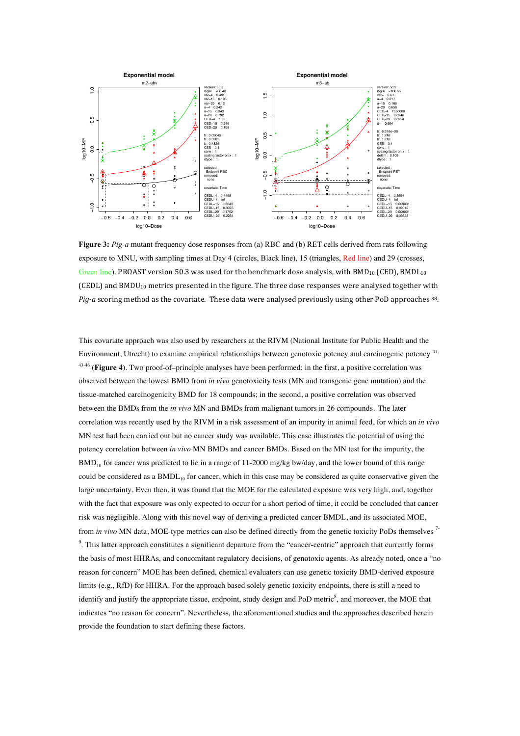

**Figure 3:** *Pig-a* mutant frequency dose responses from (a) RBC and (b) RET cells derived from rats following exposure to MNU, with sampling times at Day 4 (circles, Black line), 15 (triangles, Red line) and 29 (crosses, Green line). PROAST version 50.3 was used for the benchmark dose analysis, with  $BMD_{10}$  (CED),  $BMD_{10}$ (CEDL) and BMDU<sub>10</sub> metrics presented in the figure. The three dose responses were analysed together with *Pig-a* scoring method as the covariate. These data were analysed previously using other PoD approaches <sup>38</sup>.

This covariate approach was also used by researchers at the RIVM (National Institute for Public Health and the Environment, Utrecht) to examine empirical relationships between genotoxic potency and carcinogenic potency 31, 43-46 (**Figure 4**). Two proof-of–principle analyses have been performed: in the first, a positive correlation was observed between the lowest BMD from *in vivo* genotoxicity tests (MN and transgenic gene mutation) and the tissue-matched carcinogenicity BMD for 18 compounds; in the second, a positive correlation was observed between the BMDs from the *in vivo* MN and BMDs from malignant tumors in 26 compounds. The later correlation was recently used by the RIVM in a risk assessment of an impurity in animal feed, for which an *in vivo* MN test had been carried out but no cancer study was available. This case illustrates the potential of using the potency correlation between *in vivo* MN BMDs and cancer BMDs. Based on the MN test for the impurity, the  $BMD_{10}$  for cancer was predicted to lie in a range of 11-2000 mg/kg bw/day, and the lower bound of this range could be considered as a  $BMDL<sub>10</sub>$  for cancer, which in this case may be considered as quite conservative given the large uncertainty. Even then, it was found that the MOE for the calculated exposure was very high, and, together with the fact that exposure was only expected to occur for a short period of time, it could be concluded that cancer risk was negligible. Along with this novel way of deriving a predicted cancer BMDL, and its associated MOE, from *in vivo* MN data, MOE-type metrics can also be defined directly from the genetic toxicity PoDs themselves 7- 9 . This latter approach constitutes a significant departure from the "cancer-centric" approach that currently forms the basis of most HHRAs, and concomitant regulatory decisions, of genotoxic agents. As already noted, once a "no reason for concern" MOE has been defined, chemical evaluators can use genetic toxicity BMD-derived exposure limits (e.g., RfD) for HHRA. For the approach based solely genetic toxicity endpoints, there is still a need to identify and justify the appropriate tissue, endpoint, study design and PoD metric<sup>8</sup>, and moreover, the MOE that indicates "no reason for concern". Nevertheless, the aforementioned studies and the approaches described herein provide the foundation to start defining these factors.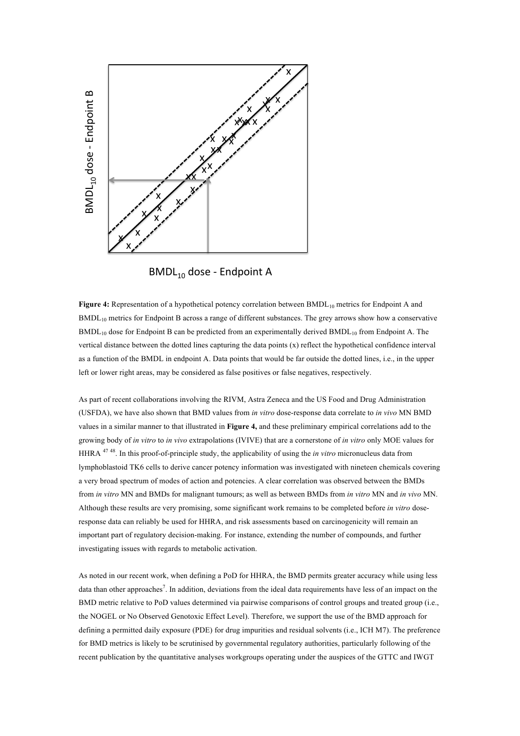

BMDL<sub>10</sub> dose - Endpoint A

**Figure 4:** Representation of a hypothetical potency correlation between BMDL<sub>10</sub> metrics for Endpoint A and BMDL10 metrics for Endpoint B across a range of different substances. The grey arrows show how a conservative  $BMDL_{10}$  dose for Endpoint B can be predicted from an experimentally derived  $BMDL_{10}$  from Endpoint A. The vertical distance between the dotted lines capturing the data points (x) reflect the hypothetical confidence interval as a function of the BMDL in endpoint A. Data points that would be far outside the dotted lines, i.e., in the upper left or lower right areas, may be considered as false positives or false negatives, respectively.

As part of recent collaborations involving the RIVM, Astra Zeneca and the US Food and Drug Administration (USFDA), we have also shown that BMD values from *in vitro* dose-response data correlate to *in vivo* MN BMD values in a similar manner to that illustrated in **Figure 4,** and these preliminary empirical correlations add to the growing body of *in vitro* to *in vivo* extrapolations (IVIVE) that are a cornerstone of *in vitro* only MOE values for HHRA <sup>47</sup> 48. In this proof-of-principle study, the applicability of using the *in vitro* micronucleus data from lymphoblastoid TK6 cells to derive cancer potency information was investigated with nineteen chemicals covering a very broad spectrum of modes of action and potencies. A clear correlation was observed between the BMDs from *in vitro* MN and BMDs for malignant tumours; as well as between BMDs from *in vitro* MN and *in vivo* MN. Although these results are very promising, some significant work remains to be completed before *in vitro* doseresponse data can reliably be used for HHRA, and risk assessments based on carcinogenicity will remain an important part of regulatory decision-making. For instance, extending the number of compounds, and further investigating issues with regards to metabolic activation.

As noted in our recent work, when defining a PoD for HHRA, the BMD permits greater accuracy while using less data than other approaches<sup>7</sup>. In addition, deviations from the ideal data requirements have less of an impact on the BMD metric relative to PoD values determined via pairwise comparisons of control groups and treated group (i.e., the NOGEL or No Observed Genotoxic Effect Level). Therefore, we support the use of the BMD approach for defining a permitted daily exposure (PDE) for drug impurities and residual solvents (i.e., ICH M7). The preference for BMD metrics is likely to be scrutinised by governmental regulatory authorities, particularly following of the recent publication by the quantitative analyses workgroups operating under the auspices of the GTTC and IWGT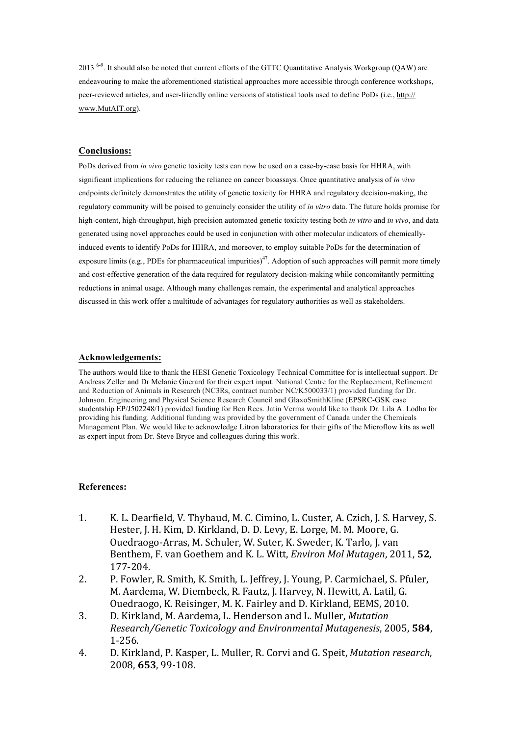2013<sup>6-9</sup>. It should also be noted that current efforts of the GTTC Quantitative Analysis Workgroup (QAW) are endeavouring to make the aforementioned statistical approaches more accessible through conference workshops, peer-reviewed articles, and user-friendly online versions of statistical tools used to define PoDs (i.e., http:// www.MutAIT.org).

### **Conclusions:**

PoDs derived from *in vivo* genetic toxicity tests can now be used on a case-by-case basis for HHRA, with significant implications for reducing the reliance on cancer bioassays. Once quantitative analysis of *in vivo* endpoints definitely demonstrates the utility of genetic toxicity for HHRA and regulatory decision-making, the regulatory community will be poised to genuinely consider the utility of *in vitro* data. The future holds promise for high-content, high-throughput, high-precision automated genetic toxicity testing both *in vitro* and *in vivo*, and data generated using novel approaches could be used in conjunction with other molecular indicators of chemicallyinduced events to identify PoDs for HHRA, and moreover, to employ suitable PoDs for the determination of exposure limits (e.g., PDEs for pharmaceutical impurities)<sup>47</sup>. Adoption of such approaches will permit more timely and cost-effective generation of the data required for regulatory decision-making while concomitantly permitting reductions in animal usage. Although many challenges remain, the experimental and analytical approaches discussed in this work offer a multitude of advantages for regulatory authorities as well as stakeholders.

#### **Acknowledgements:**

The authors would like to thank the HESI Genetic Toxicology Technical Committee for is intellectual support. Dr Andreas Zeller and Dr Melanie Guerard for their expert input. National Centre for the Replacement, Refinement and Reduction of Animals in Research (NC3Rs, contract number NC/K500033/1) provided funding for Dr. Johnson. Engineering and Physical Science Research Council and GlaxoSmithKline (EPSRC-GSK case studentship EP/J502248/1) provided funding for Ben Rees. Jatin Verma would like to thank Dr. Lila A. Lodha for providing his funding. Additional funding was provided by the government of Canada under the Chemicals Management Plan. We would like to acknowledge Litron laboratories for their gifts of the Microflow kits as well as expert input from Dr. Steve Bryce and colleagues during this work.

#### **References:**

- 1. K. L. Dearfield, V. Thybaud, M. C. Cimino, L. Custer, A. Czich, J. S. Harvey, S. Hester, J. H. Kim, D. Kirkland, D. D. Levy, E. Lorge, M. M. Moore, G. Ouedraogo-Arras, M. Schuler, W. Suter, K. Sweder, K. Tarlo, J. van Benthem, F. van Goethem and K. L. Witt, *Environ Mol Mutagen*, 2011, 52, 177-204.
- 2. P. Fowler, R. Smith, K. Smith, L. Jeffrey, J. Young, P. Carmichael, S. Pfuler, M. Aardema, W. Diembeck, R. Fautz, J. Harvey, N. Hewitt, A. Latil, G. Ouedraogo, K. Reisinger, M. K. Fairley and D. Kirkland, EEMS, 2010.
- 3. D. Kirkland, M. Aardema, L. Henderson and L. Muller, *Mutation Research/Genetic Toxicology and Environmental Mutagenesis*, 2005, **584**, 1-256.
- 4. D. Kirkland, P. Kasper, L. Muller, R. Corvi and G. Speit, *Mutation research*, 2008, **653**, 99-108.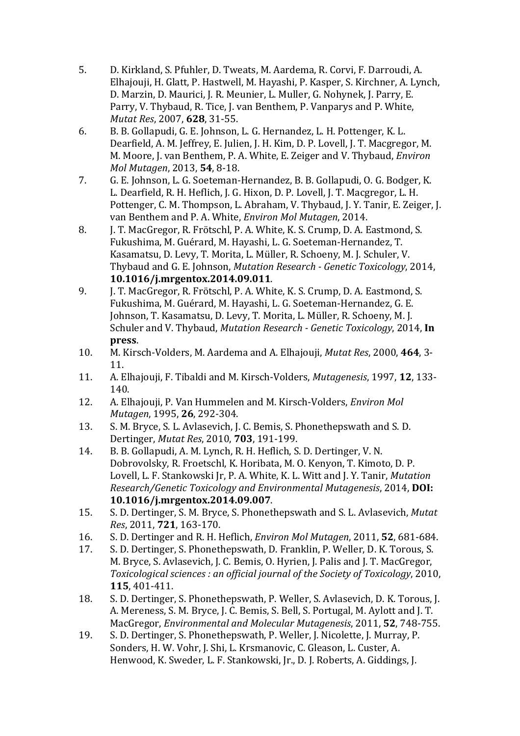- 5. D. Kirkland, S. Pfuhler, D. Tweats, M. Aardema, R. Corvi, F. Darroudi, A. Elhajouji, H. Glatt, P. Hastwell, M. Hayashi, P. Kasper, S. Kirchner, A. Lynch, D. Marzin, D. Maurici, J. R. Meunier, L. Muller, G. Nohynek, J. Parry, E. Parry, V. Thybaud, R. Tice, J. van Benthem, P. Vanparys and P. White, *Mutat Res*, 2007, **628**, 31-55.
- 6. B. B. Gollapudi, G. E. Johnson, L. G. Hernandez, L. H. Pottenger, K. L. Dearfield, A. M. Jeffrey, E. Julien, J. H. Kim, D. P. Lovell, J. T. Macgregor, M. M. Moore, J. van Benthem, P. A. White, E. Zeiger and V. Thybaud, *Environ Mol Mutagen*, 2013, **54**, 8-18.
- 7. G. E. Johnson, L. G. Soeteman-Hernandez, B. B. Gollapudi, O. G. Bodger, K. L. Dearfield, R. H. Heflich, J. G. Hixon, D. P. Lovell, J. T. Macgregor, L. H. Pottenger, C. M. Thompson, L. Abraham, V. Thybaud, J. Y. Tanir, E. Zeiger, J. van Benthem and P. A. White, *Environ Mol Mutagen*, 2014.
- 8. J. T. MacGregor, R. Frötschl, P. A. White, K. S. Crump, D. A. Eastmond, S. Fukushima, M. Guérard, M. Hayashi, L. G. Soeteman-Hernandez, T. Kasamatsu, D. Levy, T. Morita, L. Müller, R. Schoeny, M. J. Schuler, V. Thybaud and G. E. Johnson, *Mutation Research - Genetic Toxicology*, 2014, **10.1016/j.mrgentox.2014.09.011**.
- 9. J. T. MacGregor, R. Frötschl, P. A. White, K. S. Crump, D. A. Eastmond, S. Fukushima, M. Guérard, M. Hayashi, L. G. Soeteman-Hernandez, G. E. Johnson, T. Kasamatsu, D. Levy, T. Morita, L. Müller, R. Schoeny, M. J. Schuler and V. Thybaud, *Mutation Research - Genetic Toxicology*, 2014, *In* **press**.
- 10. M. Kirsch-Volders, M. Aardema and A. Elhajouji, *Mutat Res*, 2000, **464**, 3- 11.
- 11. A. Elhajouji, F. Tibaldi and M. Kirsch-Volders, *Mutagenesis*, 1997, 12, 133-140.
- 12. A. Elhajouji, P. Van Hummelen and M. Kirsch-Volders, *Environ Mol Mutagen, 1995, 26, 292-304.*
- 13. S. M. Bryce, S. L. Avlasevich, J. C. Bemis, S. Phonethepswath and S. D. Dertinger, *Mutat Res*, 2010, **703**, 191-199.
- 14. B. B. Gollapudi, A. M. Lynch, R. H. Heflich, S. D. Dertinger, V. N. Dobrovolsky, R. Froetschl, K. Horibata, M. O. Kenyon, T. Kimoto, D. P. Lovell, L. F. Stankowski Jr, P. A. White, K. L. Witt and J. Y. Tanir, *Mutation Research/Genetic Toxicology and Environmental Mutagenesis, 2014, DOI:* **10.1016/j.mrgentox.2014.09.007**.
- 15. S. D. Dertinger, S. M. Bryce, S. Phonethepswath and S. L. Avlasevich, *Mutat Res*, 2011, **721**, 163-170.
- 16. S. D. Dertinger and R. H. Heflich, *Environ Mol Mutagen*, 2011, **52**, 681-684.
- 17. S. D. Dertinger, S. Phonethepswath, D. Franklin, P. Weller, D. K. Torous, S. M. Bryce, S. Aylasevich, J. C. Bemis, O. Hyrien, J. Palis and J. T. MacGregor, *Toxicological sciences : an official journal of the Society of Toxicology, 2010,* **115**, 401-411.
- 18. S. D. Dertinger, S. Phonethepswath, P. Weller, S. Avlasevich, D. K. Torous, J. A. Mereness, S. M. Bryce, J. C. Bemis, S. Bell, S. Portugal, M. Aylott and J. T. MacGregor, *Environmental and Molecular Mutagenesis*, 2011, **52**, 748-755.
- 19. S. D. Dertinger, S. Phonethepswath, P. Weller, J. Nicolette, J. Murray, P. Sonders, H. W. Vohr, J. Shi, L. Krsmanovic, C. Gleason, L. Custer, A. Henwood, K. Sweder, L. F. Stankowski, Jr., D. J. Roberts, A. Giddings, J.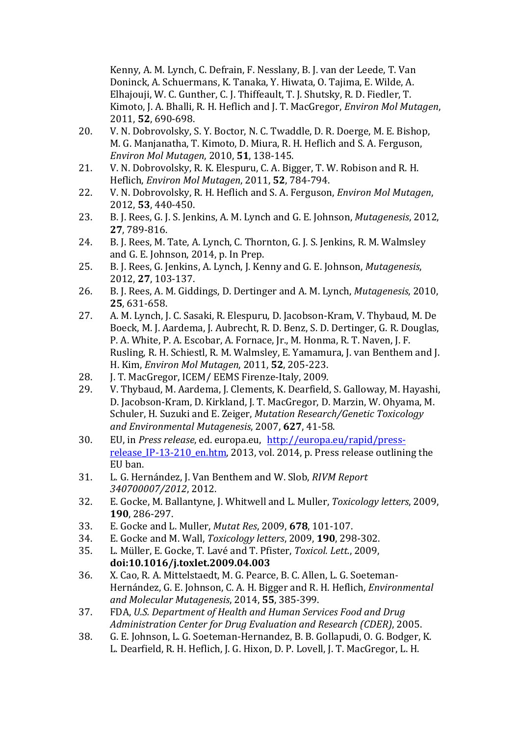Kenny, A. M. Lynch, C. Defrain, F. Nesslany, B. J. van der Leede, T. Van Doninck, A. Schuermans, K. Tanaka, Y. Hiwata, O. Tajima, E. Wilde, A. Elhajouji, W. C. Gunther, C. J. Thiffeault, T. J. Shutsky, R. D. Fiedler, T. Kimoto, J. A. Bhalli, R. H. Heflich and J. T. MacGregor, *Environ Mol Mutagen*, 2011, **52**, 690-698.

- 20. V. N. Dobrovolsky, S. Y. Boctor, N. C. Twaddle, D. R. Doerge, M. E. Bishop, M. G. Manjanatha, T. Kimoto, D. Miura, R. H. Heflich and S. A. Ferguson, *Environ Mol Mutagen*, 2010, **51**, 138-145.
- 21. V. N. Dobrovolsky, R. K. Elespuru, C. A. Bigger, T. W. Robison and R. H. Heflich, *Environ Mol Mutagen*, 2011, **52**, 784-794.
- 22. V. N. Dobrovolsky, R. H. Heflich and S. A. Ferguson, *Environ Mol Mutagen*, 2012, **53**, 440-450.
- 23. B. J. Rees, G. J. S. Jenkins, A. M. Lynch and G. E. Johnson, *Mutagenesis*, 2012, **27**, 789-816.
- 24. B. J. Rees, M. Tate, A. Lynch, C. Thornton, G. J. S. Jenkins, R. M. Walmsley and G. E. Johnson, 2014, p. In Prep.
- 25. B. J. Rees, G. Jenkins, A. Lynch, J. Kenny and G. E. Johnson, *Mutagenesis*, 2012, **27**, 103-137.
- 26. B. J. Rees, A. M. Giddings, D. Dertinger and A. M. Lynch, *Mutagenesis*, 2010, **25**, 631-658.
- 27. A. M. Lynch, J. C. Sasaki, R. Elespuru, D. Jacobson-Kram, V. Thybaud, M. De Boeck, M. J. Aardema, J. Aubrecht, R. D. Benz, S. D. Dertinger, G. R. Douglas, P. A. White, P. A. Escobar, A. Fornace, Ir., M. Honma, R. T. Naven, I. F. Rusling, R. H. Schiestl, R. M. Walmsley, E. Yamamura, J. van Benthem and J. H. Kim, *Environ Mol Mutagen*, 2011, **52**, 205-223.
- 28. J. T. MacGregor, ICEM/ EEMS Firenze-Italy, 2009.
- 29. V. Thybaud, M. Aardema, J. Clements, K. Dearfield, S. Galloway, M. Hayashi, D. Jacobson-Kram, D. Kirkland, J. T. MacGregor, D. Marzin, W. Ohvama, M. Schuler, H. Suzuki and E. Zeiger, *Mutation Research/Genetic Toxicology and Environmental Mutagenesis*, 2007, **627**, 41-58.
- 30. EU, in *Press release*, ed. europa.eu, http://europa.eu/rapid/pressrelease\_IP-13-210\_en.htm, 2013, vol. 2014, p. Press release outlining the EU ban.
- 31. L. G. Hernández, J. Van Benthem and W. Slob, *RIVM Report* 340700007/2012, 2012.
- 32. E. Gocke, M. Ballantyne, J. Whitwell and L. Muller, *Toxicology letters*, 2009, **190**, 286-297.
- 33. E. Gocke and L. Muller, *Mutat Res*, 2009, **678**, 101-107.
- 34. E. Gocke and M. Wall, *Toxicology letters*, 2009, **190**, 298-302.
- 35. L. Müller, E. Gocke, T. Lavé and T. Pfister, *Toxicol. Lett.*, 2009, **doi:10.1016/j.toxlet.2009.04.003**
- 36. X. Cao, R. A. Mittelstaedt, M. G. Pearce, B. C. Allen, L. G. Soeteman-Hernández, G. E. Johnson, C. A. H. Bigger and R. H. Heflich, *Environmental and Molecular Mutagenesis*, 2014, **55**, 385-399.
- 37. FDA, *U.S. Department of Health and Human Services Food and Drug* Administration Center for Drug Evaluation and Research (CDER), 2005.
- 38. G. E. Johnson, L. G. Soeteman-Hernandez, B. B. Gollapudi, O. G. Bodger, K. L. Dearfield, R. H. Heflich, J. G. Hixon, D. P. Lovell, J. T. MacGregor, L. H.